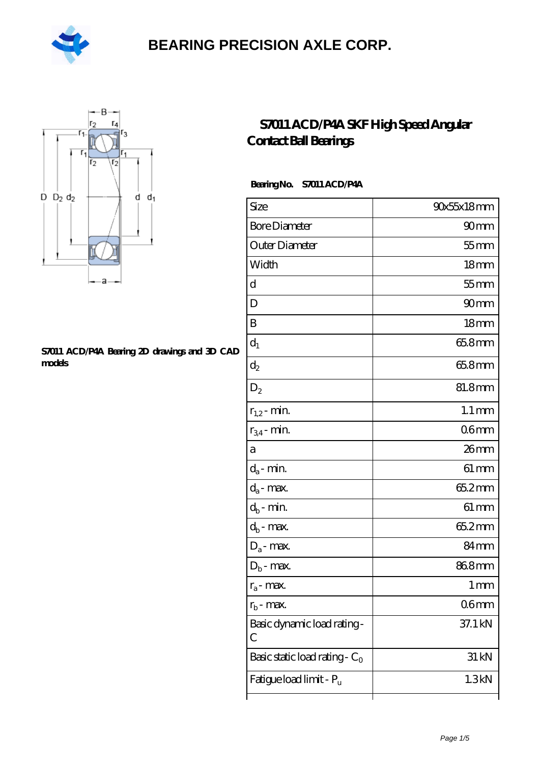



#### **[S7011 ACD/P4A Bearing 2D drawings and 3D CAD](https://m.hilalanaokulu.com/pic-660770.html) [models](https://m.hilalanaokulu.com/pic-660770.html)**

### **[S7011 ACD/P4A SKF High Speed Angular](https://m.hilalanaokulu.com/skf-bearings/s7011-acd-p4a.html) [Contact Ball Bearings](https://m.hilalanaokulu.com/skf-bearings/s7011-acd-p4a.html)**

#### **Bearing No. S7011 ACD/P4A**

| Size                             | 90x55x18mm         |
|----------------------------------|--------------------|
| <b>Bore Diameter</b>             | 90 <sub>mm</sub>   |
| Outer Diameter                   | $55$ mm            |
| Width                            | 18 <sub>mm</sub>   |
| d                                | $55$ mm            |
| D                                | 90mm               |
| B                                | 18 <sub>mm</sub>   |
| $d_1$                            | 65.8mm             |
| $\mathrm{d}_2$                   | 65.8mm             |
| $D_2$                            | 81.8mm             |
| $r_{1,2}$ - min.                 | $1.1 \, \text{mm}$ |
| $r_{34}$ - min.                  | 06mm               |
| а                                | $26$ mm            |
| $d_a$ - min.                     | $61 \,\mathrm{mm}$ |
| $d_a$ - max.                     | 65.2mm             |
| $d_b$ - min.                     | $61 \,\mathrm{mm}$ |
| $d_b$ - max.                     | 65.2mm             |
| $D_a$ - max.                     | 84 <sub>mm</sub>   |
| $D_b$ - max.                     | 868mm              |
| $r_a$ - max.                     | $1 \,\mathrm{mm}$  |
| $r_{\rm b}$ - max.               | 06 <sub>mm</sub>   |
| Basic dynamic load rating-<br>С  | 37.1 kN            |
| Basic static load rating - $C_0$ | 31 kN              |
| Fatigue load limit - Pu          | 1.3kN              |
|                                  |                    |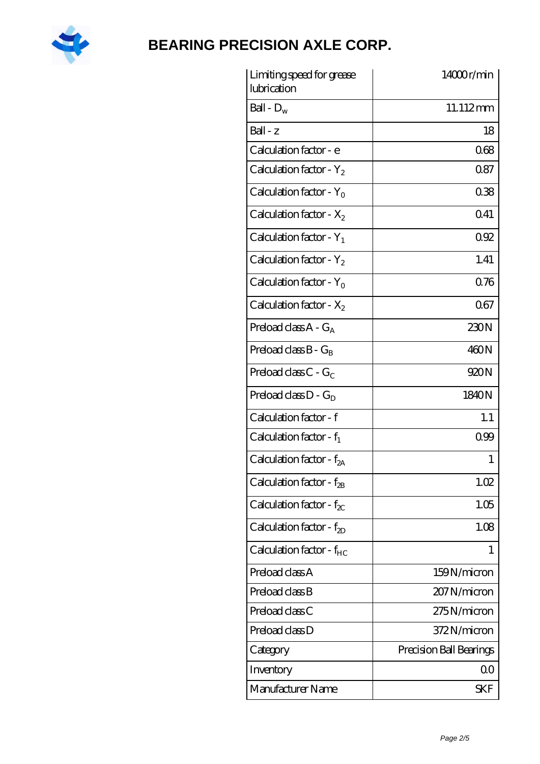

| Limiting speed for grease<br>lubrication | 14000r/min              |
|------------------------------------------|-------------------------|
| Ball - $D_w$                             | 11.112mm                |
| $Ball - z$                               | 18                      |
| Calculation factor - e                   | 068                     |
| Calculation factor - $Y_2$               | 0.87                    |
| Calculation factor - $Y_0$               | 038                     |
| Calculation factor - $X_2$               | 0.41                    |
| Calculation factor - $Y_1$               | 092                     |
| Calculation factor - $Y_2$               | 1.41                    |
| Calculation factor - $Y_0$               | 0.76                    |
| Calculation factor - $X_2$               | 067                     |
| Preload class $A - G_A$                  | 230N                    |
| Preload class $B - G_B$                  | 460N                    |
| Preload class $C - G_C$                  | 920N                    |
| Preload class $D - G_D$                  | 1840N                   |
| Calculation factor - f                   | 1.1                     |
| Calculation factor - $f_1$               | 0.99                    |
| Calculation factor - f <sub>2A</sub>     | 1                       |
| Calculation factor - $f_{2B}$            | 1.02                    |
| Calculation factor - $f_{\chi}$          | 1.05                    |
| Calculation factor - $f_{2D}$            | 1.08                    |
| Calculation factor - $f_{HC}$            | 1                       |
| Preload class A                          | 159N/micron             |
| Preload class B                          | 207 N/micron            |
| Preload class C                          | 275N/micron             |
| Preload class D                          | 372N/micron             |
| Category                                 | Precision Ball Bearings |
| Inventory                                | 0 <sub>0</sub>          |
| Manufacturer Name                        | SKF                     |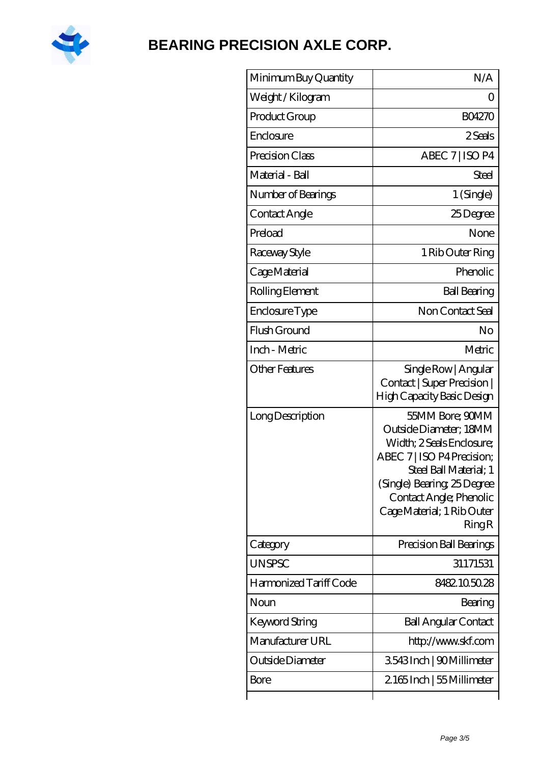

| Weight / Kilogram<br>Ω<br>Product Group<br><b>BO4270</b><br>Enclosure<br>2 Seals<br>ABEC 7   ISO P4<br>Precision Class<br>Material - Ball<br>Steel<br>1 (Single)<br>Number of Bearings<br>Contact Angle<br>25Degree<br>Preload<br>None<br>Raceway Style<br>1 Rib Outer Ring<br>Phenolic<br>Cage Material<br>Rolling Element<br><b>Ball Bearing</b><br>Non Contact Seal<br>Enclosure Type<br>Flush Ground<br>No<br>Inch - Metric<br>Metric<br><b>Other Features</b><br>Single Row   Angular<br>Contact   Super Precision  <br>High Capacity Basic Design<br>55MM Bore; 90MM<br>Long Description<br>Outside Diameter; 18MM<br>Width: 2 Seals Enclosure:<br>ABEC 7   ISO P4 Precision;<br>Steel Ball Material; 1<br>(Single) Bearing 25 Degree<br>Contact Angle; Phenolic<br>Cage Material; 1 Rib Outer<br>RingR<br>Precision Ball Bearings<br>Category<br><b>UNSPSC</b><br>31171531<br>Harmonized Tariff Code<br>8482105028<br>Noun<br>Bearing<br>Keyword String<br><b>Ball Angular Contact</b><br>Manufacturer URL<br>http://www.skf.com<br>Outside Diameter<br>3543Inch   90Millimeter<br>2165Inch   55 Millimeter<br>Bore | Minimum Buy Quantity | N/A |
|----------------------------------------------------------------------------------------------------------------------------------------------------------------------------------------------------------------------------------------------------------------------------------------------------------------------------------------------------------------------------------------------------------------------------------------------------------------------------------------------------------------------------------------------------------------------------------------------------------------------------------------------------------------------------------------------------------------------------------------------------------------------------------------------------------------------------------------------------------------------------------------------------------------------------------------------------------------------------------------------------------------------------------------------------------------------------------------------------------------------------|----------------------|-----|
|                                                                                                                                                                                                                                                                                                                                                                                                                                                                                                                                                                                                                                                                                                                                                                                                                                                                                                                                                                                                                                                                                                                            |                      |     |
|                                                                                                                                                                                                                                                                                                                                                                                                                                                                                                                                                                                                                                                                                                                                                                                                                                                                                                                                                                                                                                                                                                                            |                      |     |
|                                                                                                                                                                                                                                                                                                                                                                                                                                                                                                                                                                                                                                                                                                                                                                                                                                                                                                                                                                                                                                                                                                                            |                      |     |
|                                                                                                                                                                                                                                                                                                                                                                                                                                                                                                                                                                                                                                                                                                                                                                                                                                                                                                                                                                                                                                                                                                                            |                      |     |
|                                                                                                                                                                                                                                                                                                                                                                                                                                                                                                                                                                                                                                                                                                                                                                                                                                                                                                                                                                                                                                                                                                                            |                      |     |
|                                                                                                                                                                                                                                                                                                                                                                                                                                                                                                                                                                                                                                                                                                                                                                                                                                                                                                                                                                                                                                                                                                                            |                      |     |
|                                                                                                                                                                                                                                                                                                                                                                                                                                                                                                                                                                                                                                                                                                                                                                                                                                                                                                                                                                                                                                                                                                                            |                      |     |
|                                                                                                                                                                                                                                                                                                                                                                                                                                                                                                                                                                                                                                                                                                                                                                                                                                                                                                                                                                                                                                                                                                                            |                      |     |
|                                                                                                                                                                                                                                                                                                                                                                                                                                                                                                                                                                                                                                                                                                                                                                                                                                                                                                                                                                                                                                                                                                                            |                      |     |
|                                                                                                                                                                                                                                                                                                                                                                                                                                                                                                                                                                                                                                                                                                                                                                                                                                                                                                                                                                                                                                                                                                                            |                      |     |
|                                                                                                                                                                                                                                                                                                                                                                                                                                                                                                                                                                                                                                                                                                                                                                                                                                                                                                                                                                                                                                                                                                                            |                      |     |
|                                                                                                                                                                                                                                                                                                                                                                                                                                                                                                                                                                                                                                                                                                                                                                                                                                                                                                                                                                                                                                                                                                                            |                      |     |
|                                                                                                                                                                                                                                                                                                                                                                                                                                                                                                                                                                                                                                                                                                                                                                                                                                                                                                                                                                                                                                                                                                                            |                      |     |
|                                                                                                                                                                                                                                                                                                                                                                                                                                                                                                                                                                                                                                                                                                                                                                                                                                                                                                                                                                                                                                                                                                                            |                      |     |
|                                                                                                                                                                                                                                                                                                                                                                                                                                                                                                                                                                                                                                                                                                                                                                                                                                                                                                                                                                                                                                                                                                                            |                      |     |
|                                                                                                                                                                                                                                                                                                                                                                                                                                                                                                                                                                                                                                                                                                                                                                                                                                                                                                                                                                                                                                                                                                                            |                      |     |
|                                                                                                                                                                                                                                                                                                                                                                                                                                                                                                                                                                                                                                                                                                                                                                                                                                                                                                                                                                                                                                                                                                                            |                      |     |
|                                                                                                                                                                                                                                                                                                                                                                                                                                                                                                                                                                                                                                                                                                                                                                                                                                                                                                                                                                                                                                                                                                                            |                      |     |
|                                                                                                                                                                                                                                                                                                                                                                                                                                                                                                                                                                                                                                                                                                                                                                                                                                                                                                                                                                                                                                                                                                                            |                      |     |
|                                                                                                                                                                                                                                                                                                                                                                                                                                                                                                                                                                                                                                                                                                                                                                                                                                                                                                                                                                                                                                                                                                                            |                      |     |
|                                                                                                                                                                                                                                                                                                                                                                                                                                                                                                                                                                                                                                                                                                                                                                                                                                                                                                                                                                                                                                                                                                                            |                      |     |
|                                                                                                                                                                                                                                                                                                                                                                                                                                                                                                                                                                                                                                                                                                                                                                                                                                                                                                                                                                                                                                                                                                                            |                      |     |
|                                                                                                                                                                                                                                                                                                                                                                                                                                                                                                                                                                                                                                                                                                                                                                                                                                                                                                                                                                                                                                                                                                                            |                      |     |
|                                                                                                                                                                                                                                                                                                                                                                                                                                                                                                                                                                                                                                                                                                                                                                                                                                                                                                                                                                                                                                                                                                                            |                      |     |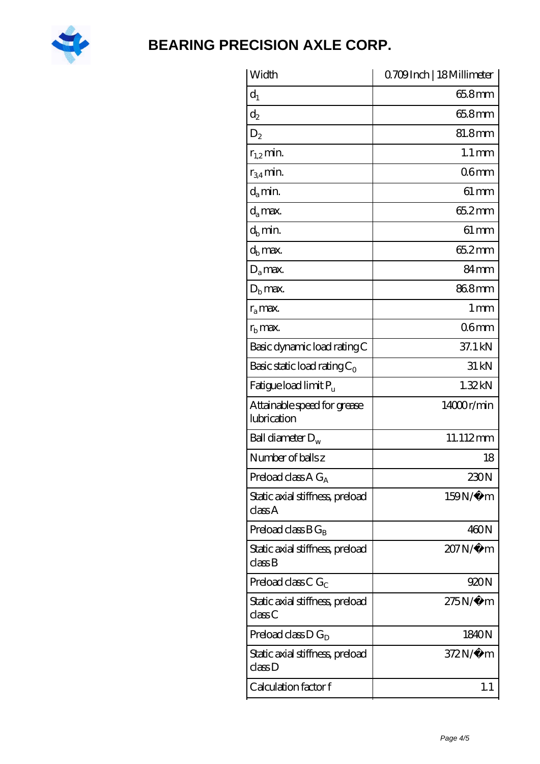

| Width                                      | Q709Inch   18 Millimeter |
|--------------------------------------------|--------------------------|
| $d_1$                                      | 65.8mm                   |
| $d_2$                                      | 65.8mm                   |
| $D_2$                                      | 81.8mm                   |
| $r_{1,2}$ min.                             | $1.1 \,\mathrm{mm}$      |
| $r_{34}$ min.                              | 06 <sub>mm</sub>         |
| $d_{a}$ min.                               | $61 \, \text{mm}$        |
| d <sub>a</sub> max.                        | 65.2mm                   |
| $d_b$ min.                                 | $61 \,\mathrm{mm}$       |
| d <sub>b</sub> max.                        | 65.2mm                   |
| $D_a$ max.                                 | 84 <sub>mm</sub>         |
| $Db$ max.                                  | 868mm                    |
| $r_a$ max.                                 | 1 <sub>mm</sub>          |
| $rb$ max.                                  | 06 <sub>mm</sub>         |
| Basic dynamic load rating C                | 37.1 kN                  |
| Basic static load rating $C_0$             | 31 kN                    |
| Fatigue load limit $P_{\rm u}$             | 1.32kN                   |
| Attainable speed for grease<br>lubrication | 14000r/min               |
| Ball diameter $D_w$                        | 11.112mm                 |
| Number of balls z                          | 18                       |
| Preload class $A G_A$                      | 230N                     |
| Static axial stiffness, preload<br>classA  | 159N/μ m                 |
| Preload class $BG_R$                       | 460N                     |
| Static axial stiffness, preload<br>classB  | 207N/µ m                 |
| Preload class C $G_C$                      | 920N                     |
| Static axial stiffness, preload<br>classC  | $275N/\mu$ m             |
| Preload class $D G_D$                      | 1840N                    |
| Static axial stiffness, preload<br>class D | $372N/\mu$ m             |
| Calculation factor f                       | 1.1                      |